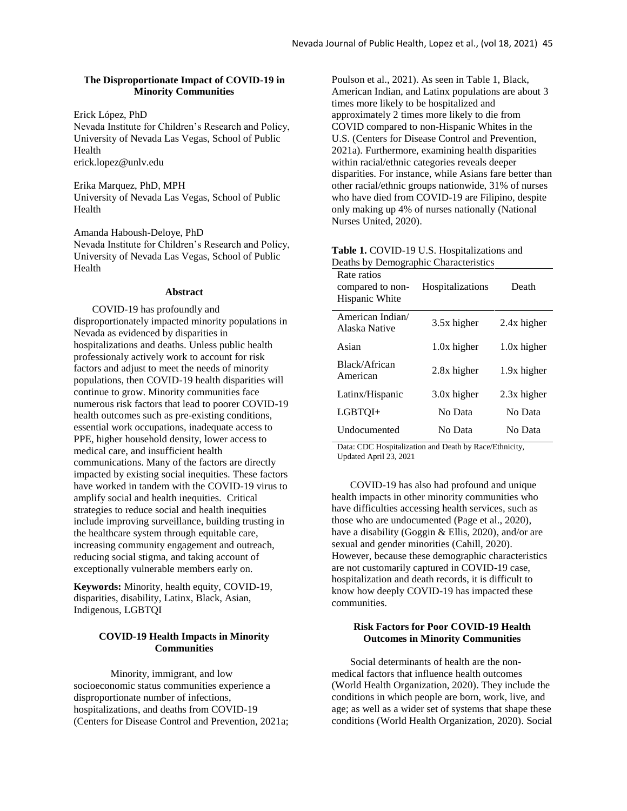## **The Disproportionate Impact of COVID-19 in Minority Communities**

Erick López, PhD

Nevada Institute for Children's Research and Policy, University of Nevada Las Vegas, School of Public Health erick.lopez@unlv.edu

Erika Marquez, PhD, MPH University of Nevada Las Vegas, School of Public Health

Amanda Haboush-Deloye, PhD Nevada Institute for Children's Research and Policy, University of Nevada Las Vegas, School of Public Health

## **Abstract**

COVID-19 has profoundly and disproportionately impacted minority populations in Nevada as evidenced by disparities in hospitalizations and deaths. Unless public health professionaly actively work to account for risk factors and adjust to meet the needs of minority populations, then COVID-19 health disparities will continue to grow. Minority communities face numerous risk factors that lead to poorer COVID-19 health outcomes such as pre-existing conditions, essential work occupations, inadequate access to PPE, higher household density, lower access to medical care, and insufficient health communications. Many of the factors are directly impacted by existing social inequities. These factors have worked in tandem with the COVID-19 virus to amplify social and health inequities. Critical strategies to reduce social and health inequities include improving surveillance, building trusting in the healthcare system through equitable care, increasing community engagement and outreach, reducing social stigma, and taking account of exceptionally vulnerable members early on.

**Keywords:** Minority, health equity, COVID-19, disparities, disability, Latinx, Black, Asian, Indigenous, LGBTQI

# **COVID-19 Health Impacts in Minority Communities**

Minority, immigrant, and low socioeconomic status communities experience a disproportionate number of infections, hospitalizations, and deaths from COVID-19 (Centers for Disease Control and Prevention, 2021a; Poulson et al., 2021). As seen in Table 1, Black, American Indian, and Latinx populations are about 3 times more likely to be hospitalized and approximately 2 times more likely to die from COVID compared to non-Hispanic Whites in the U.S. (Centers for Disease Control and Prevention, 2021a). Furthermore, examining health disparities within racial/ethnic categories reveals deeper disparities. For instance, while Asians fare better than other racial/ethnic groups nationwide, 31% of nurses who have died from COVID-19 are Filipino, despite only making up 4% of nurses nationally (National Nurses United, 2020).

| Deaths by Demographic Characteristics             |                         |             |
|---------------------------------------------------|-------------------------|-------------|
| Rate ratios<br>compared to non-<br>Hispanic White | <b>Hospitalizations</b> | Death       |
| American Indian/<br>Alaska Native                 | 3.5x higher             | 2.4x higher |
| Asian                                             | 1.0x higher             | 1.0x higher |
| Black/African<br>American                         | 2.8x higher             | 1.9x higher |
| Latinx/Hispanic                                   | 3.0x higher             | 2.3x higher |
| LGBTOI+                                           | No Data                 | No Data     |
| Undocumented                                      | No Data                 | No Data     |
|                                                   |                         |             |

**Table 1.** COVID-19 U.S. Hospitalizations and Deaths by Demographic Characteristics

Data: CDC Hospitalization and Death by Race/Ethnicity, Updated April 23, 2021

COVID-19 has also had profound and unique health impacts in other minority communities who have difficulties accessing health services, such as those who are undocumented (Page et al., 2020), have a disability (Goggin & Ellis, 2020), and/or are sexual and gender minorities (Cahill, 2020). However, because these demographic characteristics are not customarily captured in COVID-19 case, hospitalization and death records, it is difficult to know how deeply COVID-19 has impacted these communities.

# **Risk Factors for Poor COVID-19 Health Outcomes in Minority Communities**

Social determinants of health are the nonmedical factors that influence health outcomes (World Health Organization, 2020). They include the conditions in which people are born, work, live, and age; as well as a wider set of systems that shape these conditions (World Health Organization, 2020). Social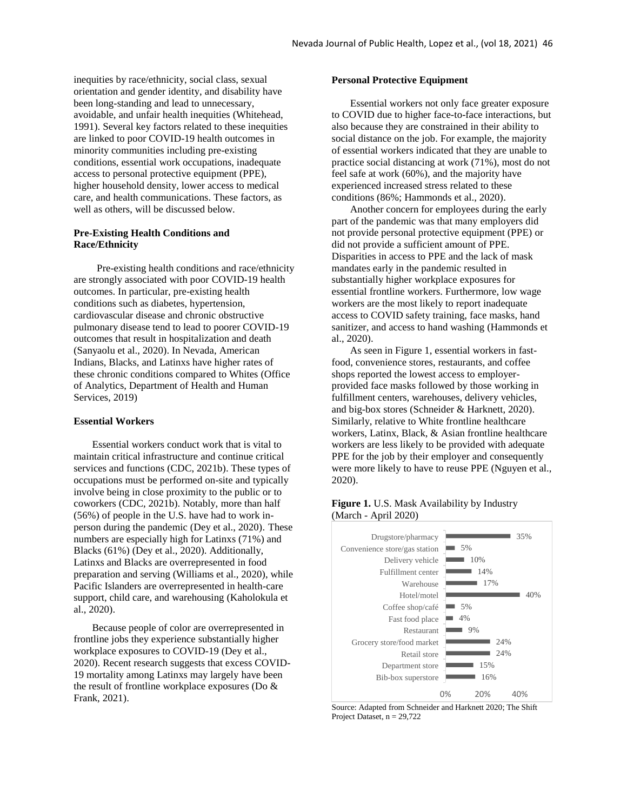inequities by race/ethnicity, social class, sexual orientation and gender identity, and disability have been long-standing and lead to unnecessary, avoidable, and unfair health inequities (Whitehead, 1991). Several key factors related to these inequities are linked to poor COVID-19 health outcomes in minority communities including pre-existing conditions, essential work occupations, inadequate access to personal protective equipment (PPE), higher household density, lower access to medical care, and health communications. These factors, as well as others, will be discussed below.

## **Pre-Existing Health Conditions and Race/Ethnicity**

Pre-existing health conditions and race/ethnicity are strongly associated with poor COVID-19 health outcomes. In particular, pre-existing health conditions such as diabetes, hypertension, cardiovascular disease and chronic obstructive pulmonary disease tend to lead to poorer COVID-19 outcomes that result in hospitalization and death (Sanyaolu et al., 2020). In Nevada, American Indians, Blacks, and Latinxs have higher rates of these chronic conditions compared to Whites (Office of Analytics, Department of Health and Human Services, 2019)

#### **Essential Workers**

Essential workers conduct work that is vital to maintain critical infrastructure and continue critical services and functions (CDC, 2021b). These types of occupations must be performed on-site and typically involve being in close proximity to the public or to coworkers (CDC, 2021b). Notably, more than half (56%) of people in the U.S. have had to work inperson during the pandemic (Dey et al., 2020). These numbers are especially high for Latinxs (71%) and Blacks (61%) (Dey et al., 2020). Additionally, Latinxs and Blacks are overrepresented in food preparation and serving (Williams et al., 2020), while Pacific Islanders are overrepresented in health-care support, child care, and warehousing (Kaholokula et al., 2020).

Because people of color are overrepresented in frontline jobs they experience substantially higher workplace exposures to COVID-19 (Dey et al., 2020). Recent research suggests that excess COVID-19 mortality among Latinxs may largely have been the result of frontline workplace exposures (Do & Frank, 2021).

#### **Personal Protective Equipment**

Essential workers not only face greater exposure to COVID due to higher face-to-face interactions, but also because they are constrained in their ability to social distance on the job. For example, the majority of essential workers indicated that they are unable to practice social distancing at work (71%), most do not feel safe at work (60%), and the majority have experienced increased stress related to these conditions (86%; Hammonds et al., 2020).

Another concern for employees during the early part of the pandemic was that many employers did not provide personal protective equipment (PPE) or did not provide a sufficient amount of PPE. Disparities in access to PPE and the lack of mask mandates early in the pandemic resulted in substantially higher workplace exposures for essential frontline workers. Furthermore, low wage workers are the most likely to report inadequate access to COVID safety training, face masks, hand sanitizer, and access to hand washing (Hammonds et al., 2020).

As seen in Figure 1, essential workers in fastfood, convenience stores, restaurants, and coffee shops reported the lowest access to employerprovided face masks followed by those working in fulfillment centers, warehouses, delivery vehicles, and big-box stores (Schneider & Harknett, 2020). Similarly, relative to White frontline healthcare workers, Latinx, Black, & Asian frontline healthcare workers are less likely to be provided with adequate PPE for the job by their employer and consequently were more likely to have to reuse PPE (Nguyen et al., 2020).

### **Figure 1.** U.S. Mask Availability by Industry (March - April 2020)



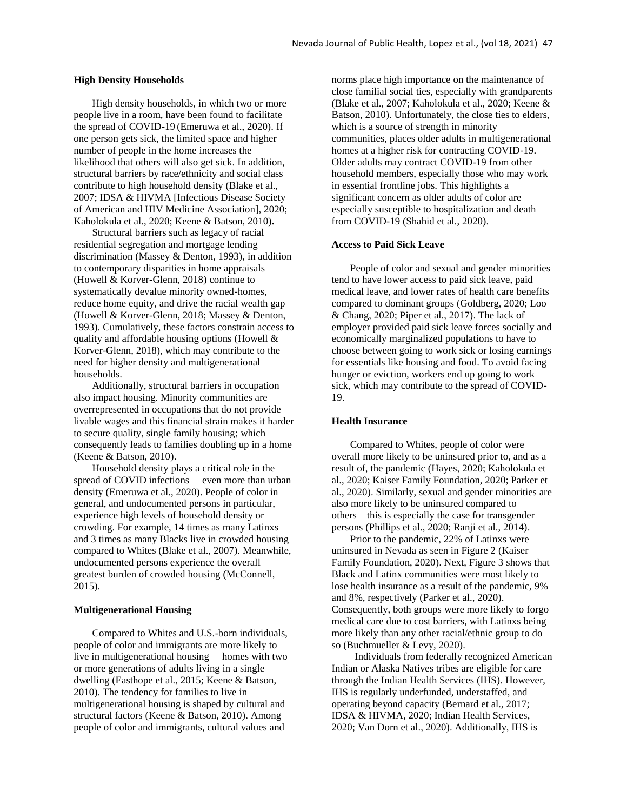#### **High Density Households**

High density households, in which two or more people live in a room, have been found to facilitate the spread of COVID-19 (Emeruwa et al., 2020). If one person gets sick, the limited space and higher number of people in the home increases the likelihood that others will also get sick. In addition, structural barriers by race/ethnicity and social class contribute to high household density (Blake et al., 2007; IDSA & HIVMA [Infectious Disease Society of American and HIV Medicine Association], 2020; Kaholokula et al., 2020; Keene & Batson, 2010)**.** 

Structural barriers such as legacy of racial residential segregation and mortgage lending discrimination (Massey & Denton, 1993), in addition to contemporary disparities in home appraisals (Howell & Korver-Glenn, 2018) continue to systematically devalue minority owned-homes, reduce home equity, and drive the racial wealth gap (Howell & Korver-Glenn, 2018; Massey & Denton, 1993). Cumulatively, these factors constrain access to quality and affordable housing options (Howell & Korver-Glenn, 2018), which may contribute to the need for higher density and multigenerational households.

Additionally, structural barriers in occupation also impact housing. Minority communities are overrepresented in occupations that do not provide livable wages and this financial strain makes it harder to secure quality, single family housing; which consequently leads to families doubling up in a home (Keene & Batson, 2010).

Household density plays a critical role in the spread of COVID infections— even more than urban density (Emeruwa et al., 2020). People of color in general, and undocumented persons in particular, experience high levels of household density or crowding. For example, 14 times as many Latinxs and 3 times as many Blacks live in crowded housing compared to Whites (Blake et al., 2007). Meanwhile, undocumented persons experience the overall greatest burden of crowded housing (McConnell, 2015).

#### **Multigenerational Housing**

Compared to Whites and U.S.-born individuals, people of color and immigrants are more likely to live in multigenerational housing— homes with two or more generations of adults living in a single dwelling (Easthope et al., 2015; Keene & Batson, 2010). The tendency for families to live in multigenerational housing is shaped by cultural and structural factors (Keene & Batson, 2010). Among people of color and immigrants, cultural values and

norms place high importance on the maintenance of close familial social ties, especially with grandparents (Blake et al., 2007; Kaholokula et al., 2020; Keene & Batson, 2010). Unfortunately, the close ties to elders, which is a source of strength in minority communities, places older adults in multigenerational homes at a higher risk for contracting COVID-19. Older adults may contract COVID-19 from other household members, especially those who may work in essential frontline jobs. This highlights a significant concern as older adults of color are especially susceptible to hospitalization and death from COVID-19 (Shahid et al., 2020).

#### **Access to Paid Sick Leave**

People of color and sexual and gender minorities tend to have lower access to paid sick leave, paid medical leave, and lower rates of health care benefits compared to dominant groups (Goldberg, 2020; Loo & Chang, 2020; Piper et al., 2017). The lack of employer provided paid sick leave forces socially and economically marginalized populations to have to choose between going to work sick or losing earnings for essentials like housing and food. To avoid facing hunger or eviction, workers end up going to work sick, which may contribute to the spread of COVID-19.

#### **Health Insurance**

Compared to Whites, people of color were overall more likely to be uninsured prior to, and as a result of, the pandemic (Hayes, 2020; Kaholokula et al., 2020; Kaiser Family Foundation, 2020; Parker et al., 2020). Similarly, sexual and gender minorities are also more likely to be uninsured compared to others—this is especially the case for transgender persons (Phillips et al., 2020; Ranji et al., 2014).

Prior to the pandemic, 22% of Latinxs were uninsured in Nevada as seen in Figure 2 (Kaiser Family Foundation, 2020). Next, Figure 3 shows that Black and Latinx communities were most likely to lose health insurance as a result of the pandemic, 9% and 8%, respectively (Parker et al., 2020). Consequently, both groups were more likely to forgo medical care due to cost barriers, with Latinxs being more likely than any other racial/ethnic group to do so (Buchmueller & Levy, 2020).

Individuals from federally recognized American Indian or Alaska Natives tribes are eligible for care through the Indian Health Services (IHS). However, IHS is regularly underfunded, understaffed, and operating beyond capacity (Bernard et al., 2017; IDSA & HIVMA, 2020; Indian Health Services, 2020; Van Dorn et al., 2020). Additionally, IHS is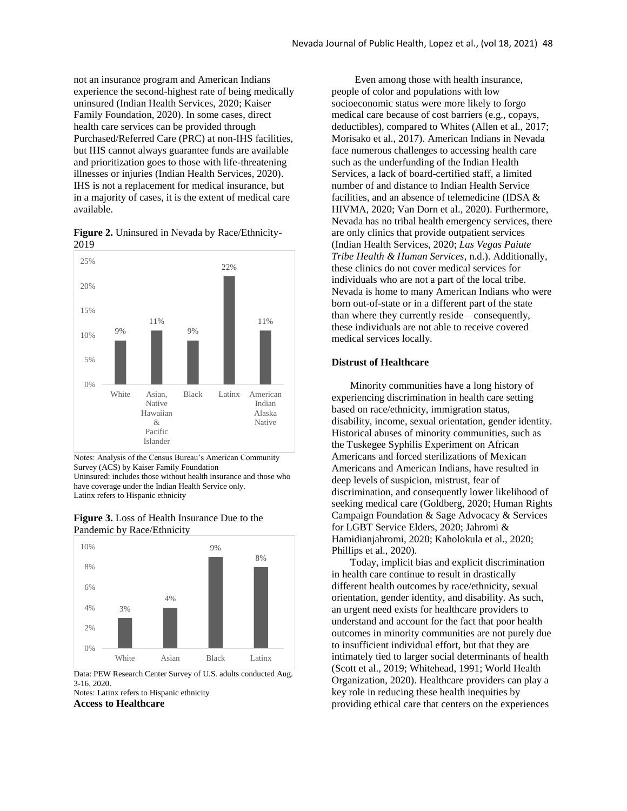not an insurance program and American Indians experience the second-highest rate of being medically uninsured (Indian Health Services, 2020; Kaiser Family Foundation, 2020). In some cases, direct health care services can be provided through Purchased/Referred Care (PRC) at non-IHS facilities, but IHS cannot always guarantee funds are available and prioritization goes to those with life-threatening illnesses or injuries (Indian Health Services, 2020). IHS is not a replacement for medical insurance, but in a majority of cases, it is the extent of medical care available.

 $Q_0$ 11%  $Q_0$ 22% 11% 0% 5% 10% 15% 20%  $25\%$ White Asian, Native Hawaiian & Pacific Islander Black Latinx American Indian Alaska Native

**Figure 2.** Uninsured in Nevada by Race/Ethnicity-2019

Notes: Analysis of the Census Bureau's American Community Survey (ACS) by Kaiser Family Foundation Uninsured: includes those without health insurance and those who have coverage under the Indian Health Service only. Latinx refers to Hispanic ethnicity





3-16, 2020. Notes: Latinx refers to Hispanic ethnicity

**Access to Healthcare**

Even among those with health insurance, people of color and populations with low socioeconomic status were more likely to forgo medical care because of cost barriers (e.g., copays, deductibles), compared to Whites (Allen et al., 2017; Morisako et al., 2017). American Indians in Nevada face numerous challenges to accessing health care such as the underfunding of the Indian Health Services, a lack of board-certified staff, a limited number of and distance to Indian Health Service facilities, and an absence of telemedicine (IDSA & HIVMA, 2020; Van Dorn et al., 2020). Furthermore, Nevada has no tribal health emergency services, there are only clinics that provide outpatient services (Indian Health Services, 2020; *Las Vegas Paiute Tribe Health & Human Services*, n.d.). Additionally, these clinics do not cover medical services for individuals who are not a part of the local tribe. Nevada is home to many American Indians who were born out-of-state or in a different part of the state than where they currently reside—consequently, these individuals are not able to receive covered medical services locally.

### **Distrust of Healthcare**

Minority communities have a long history of experiencing discrimination in health care setting based on race/ethnicity, immigration status, disability, income, sexual orientation, gender identity. Historical abuses of minority communities, such as the Tuskegee Syphilis Experiment on African Americans and forced sterilizations of Mexican Americans and American Indians, have resulted in deep levels of suspicion, mistrust, fear of discrimination, and consequently lower likelihood of seeking medical care (Goldberg, 2020; Human Rights Campaign Foundation & Sage Advocacy & Services for LGBT Service Elders, 2020; Jahromi & Hamidianjahromi, 2020; Kaholokula et al., 2020; Phillips et al., 2020).

Today, implicit bias and explicit discrimination in health care continue to result in drastically different health outcomes by race/ethnicity, sexual orientation, gender identity, and disability. As such, an urgent need exists for healthcare providers to understand and account for the fact that poor health outcomes in minority communities are not purely due to insufficient individual effort, but that they are intimately tied to larger social determinants of health (Scott et al., 2019; Whitehead, 1991; World Health Organization, 2020). Healthcare providers can play a key role in reducing these health inequities by providing ethical care that centers on the experiences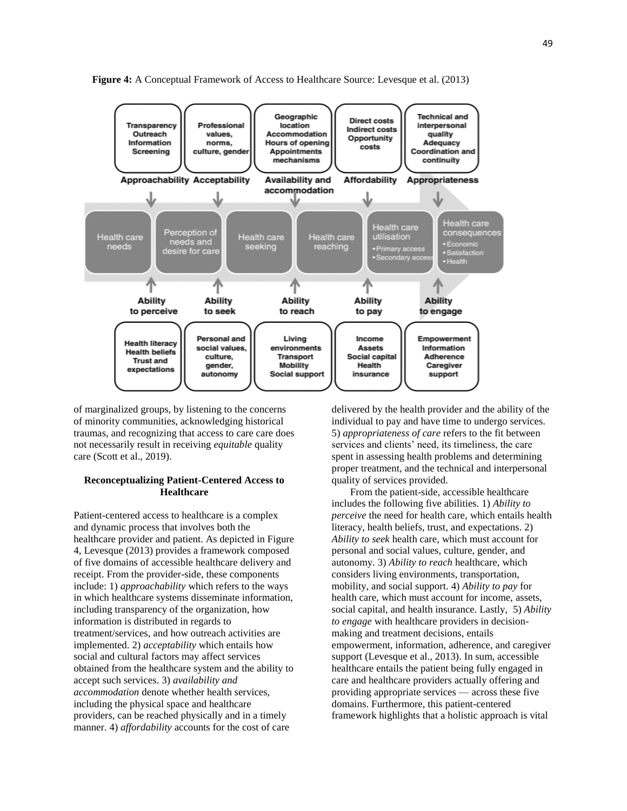

**Figure 4:** A Conceptual Framework of Access to Healthcare Source: Levesque et al. (2013)

of marginalized groups, by listening to the concerns of minority communities, acknowledging historical traumas, and recognizing that access to care care does not necessarily result in receiving *equitable* quality care (Scott et al., 2019).

## **Reconceptualizing Patient-Centered Access to Healthcare**

Patient-centered access to healthcare is a complex and dynamic process that involves both the healthcare provider and patient. As depicted in Figure 4, Levesque (2013) provides a framework composed of five domains of accessible healthcare delivery and receipt. From the provider-side, these components include: 1) *approachability* which refers to the ways in which healthcare systems disseminate information, including transparency of the organization, how information is distributed in regards to treatment/services, and how outreach activities are implemented. 2) *acceptability* which entails how social and cultural factors may affect services obtained from the healthcare system and the ability to accept such services. 3) *availability and accommodation* denote whether health services, including the physical space and healthcare providers, can be reached physically and in a timely manner. 4) *affordability* accounts for the cost of care

delivered by the health provider and the ability of the individual to pay and have time to undergo services. 5) *appropriateness of care* refers to the fit between services and clients' need, its timeliness, the care spent in assessing health problems and determining proper treatment, and the technical and interpersonal quality of services provided.

From the patient-side, accessible healthcare includes the following five abilities. 1) *Ability to perceive* the need for health care, which entails health literacy, health beliefs, trust, and expectations. 2) *Ability to seek* health care, which must account for personal and social values, culture, gender, and autonomy. 3) *Ability to reach* healthcare, which considers living environments, transportation, mobility, and social support. 4) *Ability to pay* for health care, which must account for income, assets, social capital, and health insurance. Lastly, 5) *Ability to engage* with healthcare providers in decisionmaking and treatment decisions, entails empowerment, information, adherence, and caregiver support (Levesque et al., 2013). In sum, accessible healthcare entails the patient being fully engaged in care and healthcare providers actually offering and providing appropriate services — across these five domains. Furthermore, this patient-centered framework highlights that a holistic approach is vital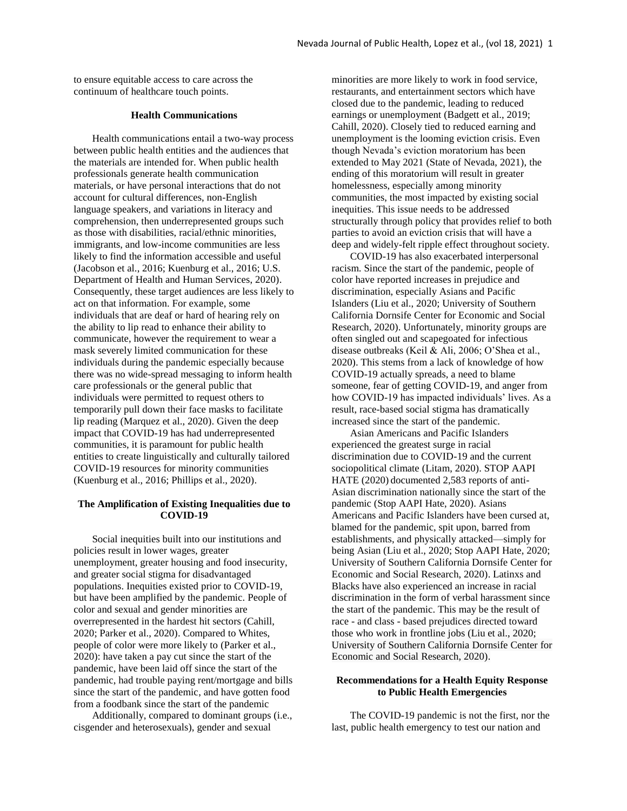to ensure equitable access to care across the continuum of healthcare touch points.

## **Health Communications**

Health communications entail a two-way process between public health entities and the audiences that the materials are intended for. When public health professionals generate health communication materials, or have personal interactions that do not account for cultural differences, non-English language speakers, and variations in literacy and comprehension, then underrepresented groups such as those with disabilities, racial/ethnic minorities, immigrants, and low-income communities are less likely to find the information accessible and useful (Jacobson et al., 2016; Kuenburg et al., 2016; U.S. Department of Health and Human Services, 2020). Consequently, these target audiences are less likely to act on that information. For example, some individuals that are deaf or hard of hearing rely on the ability to lip read to enhance their ability to communicate, however the requirement to wear a mask severely limited communication for these individuals during the pandemic especially because there was no wide-spread messaging to inform health care professionals or the general public that individuals were permitted to request others to temporarily pull down their face masks to facilitate lip reading (Marquez et al., 2020). Given the deep impact that COVID-19 has had underrepresented communities, it is paramount for public health entities to create linguistically and culturally tailored COVID-19 resources for minority communities (Kuenburg et al., 2016; Phillips et al., 2020).

## **The Amplification of Existing Inequalities due to COVID-19**

Social inequities built into our institutions and policies result in lower wages, greater unemployment, greater housing and food insecurity, and greater social stigma for disadvantaged populations. Inequities existed prior to COVID-19, but have been amplified by the pandemic. People of color and sexual and gender minorities are overrepresented in the hardest hit sectors (Cahill, 2020; Parker et al., 2020). Compared to Whites, people of color were more likely to (Parker et al., 2020): have taken a pay cut since the start of the pandemic, have been laid off since the start of the pandemic, had trouble paying rent/mortgage and bills since the start of the pandemic, and have gotten food from a foodbank since the start of the pandemic

Additionally, compared to dominant groups (i.e., cisgender and heterosexuals), gender and sexual

minorities are more likely to work in food service, restaurants, and entertainment sectors which have closed due to the pandemic, leading to reduced earnings or unemployment (Badgett et al., 2019; Cahill, 2020). Closely tied to reduced earning and unemployment is the looming eviction crisis. Even though Nevada's eviction moratorium has been extended to May 2021 (State of Nevada, 2021), the ending of this moratorium will result in greater homelessness, especially among minority communities, the most impacted by existing social inequities. This issue needs to be addressed structurally through policy that provides relief to both parties to avoid an eviction crisis that will have a deep and widely-felt ripple effect throughout society.

COVID-19 has also exacerbated interpersonal racism. Since the start of the pandemic, people of color have reported increases in prejudice and discrimination, especially Asians and Pacific Islanders (Liu et al., 2020; University of Southern California Dornsife Center for Economic and Social Research, 2020). Unfortunately, minority groups are often singled out and scapegoated for infectious disease outbreaks (Keil & Ali, 2006; O'Shea et al., 2020). This stems from a lack of knowledge of how COVID-19 actually spreads, a need to blame someone, fear of getting COVID-19, and anger from how COVID-19 has impacted individuals' lives. As a result, race-based social stigma has dramatically increased since the start of the pandemic.

Asian Americans and Pacific Islanders experienced the greatest surge in racial discrimination due to COVID-19 and the current sociopolitical climate (Litam, 2020). STOP AAPI HATE (2020) documented 2,583 reports of anti-Asian discrimination nationally since the start of the pandemic (Stop AAPI Hate, 2020). Asians Americans and Pacific Islanders have been cursed at, blamed for the pandemic, spit upon, barred from establishments, and physically attacked—simply for being Asian (Liu et al., 2020; Stop AAPI Hate, 2020; University of Southern California Dornsife Center for Economic and Social Research, 2020). Latinxs and Blacks have also experienced an increase in racial discrimination in the form of verbal harassment since the start of the pandemic. This may be the result of race - and class - based prejudices directed toward those who work in frontline jobs (Liu et al., 2020; University of Southern California Dornsife Center for Economic and Social Research, 2020).

# **Recommendations for a Health Equity Response to Public Health Emergencies**

The COVID-19 pandemic is not the first, nor the last, public health emergency to test our nation and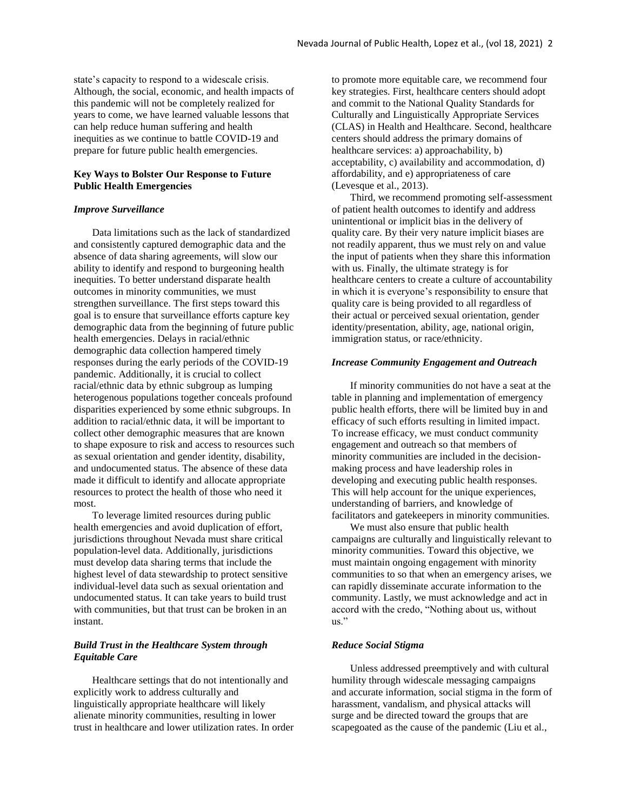state's capacity to respond to a widescale crisis. Although, the social, economic, and health impacts of this pandemic will not be completely realized for years to come, we have learned valuable lessons that can help reduce human suffering and health inequities as we continue to battle COVID-19 and prepare for future public health emergencies.

# **Key Ways to Bolster Our Response to Future Public Health Emergencies**

### *Improve Surveillance*

Data limitations such as the lack of standardized and consistently captured demographic data and the absence of data sharing agreements, will slow our ability to identify and respond to burgeoning health inequities. To better understand disparate health outcomes in minority communities, we must strengthen surveillance. The first steps toward this goal is to ensure that surveillance efforts capture key demographic data from the beginning of future public health emergencies. Delays in racial/ethnic demographic data collection hampered timely responses during the early periods of the COVID-19 pandemic. Additionally, it is crucial to collect racial/ethnic data by ethnic subgroup as lumping heterogenous populations together conceals profound disparities experienced by some ethnic subgroups. In addition to racial/ethnic data, it will be important to collect other demographic measures that are known to shape exposure to risk and access to resources such as sexual orientation and gender identity, disability, and undocumented status. The absence of these data made it difficult to identify and allocate appropriate resources to protect the health of those who need it most.

To leverage limited resources during public health emergencies and avoid duplication of effort, jurisdictions throughout Nevada must share critical population-level data. Additionally, jurisdictions must develop data sharing terms that include the highest level of data stewardship to protect sensitive individual-level data such as sexual orientation and undocumented status. It can take years to build trust with communities, but that trust can be broken in an instant.

# *Build Trust in the Healthcare System through Equitable Care*

Healthcare settings that do not intentionally and explicitly work to address culturally and linguistically appropriate healthcare will likely alienate minority communities, resulting in lower trust in healthcare and lower utilization rates. In order

to promote more equitable care, we recommend four key strategies. First, healthcare centers should adopt and commit to the National Quality Standards for Culturally and Linguistically Appropriate Services (CLAS) in Health and Healthcare. Second, healthcare centers should address the primary domains of healthcare services: a) approachability, b) acceptability, c) availability and accommodation, d) affordability, and e) appropriateness of care (Levesque et al., 2013).

Third, we recommend promoting self-assessment of patient health outcomes to identify and address unintentional or implicit bias in the delivery of quality care. By their very nature implicit biases are not readily apparent, thus we must rely on and value the input of patients when they share this information with us. Finally, the ultimate strategy is for healthcare centers to create a culture of accountability in which it is everyone's responsibility to ensure that quality care is being provided to all regardless of their actual or perceived sexual orientation, gender identity/presentation, ability, age, national origin, immigration status, or race/ethnicity.

### *Increase Community Engagement and Outreach*

If minority communities do not have a seat at the table in planning and implementation of emergency public health efforts, there will be limited buy in and efficacy of such efforts resulting in limited impact. To increase efficacy, we must conduct community engagement and outreach so that members of minority communities are included in the decisionmaking process and have leadership roles in developing and executing public health responses. This will help account for the unique experiences, understanding of barriers, and knowledge of facilitators and gatekeepers in minority communities.

We must also ensure that public health. campaigns are culturally and linguistically relevant to minority communities. Toward this objective, we must maintain ongoing engagement with minority communities to so that when an emergency arises, we can rapidly disseminate accurate information to the community. Lastly, we must acknowledge and act in accord with the credo, "Nothing about us, without us."

### *Reduce Social Stigma*

Unless addressed preemptively and with cultural humility through widescale messaging campaigns and accurate information, social stigma in the form of harassment, vandalism, and physical attacks will surge and be directed toward the groups that are scapegoated as the cause of the pandemic (Liu et al.,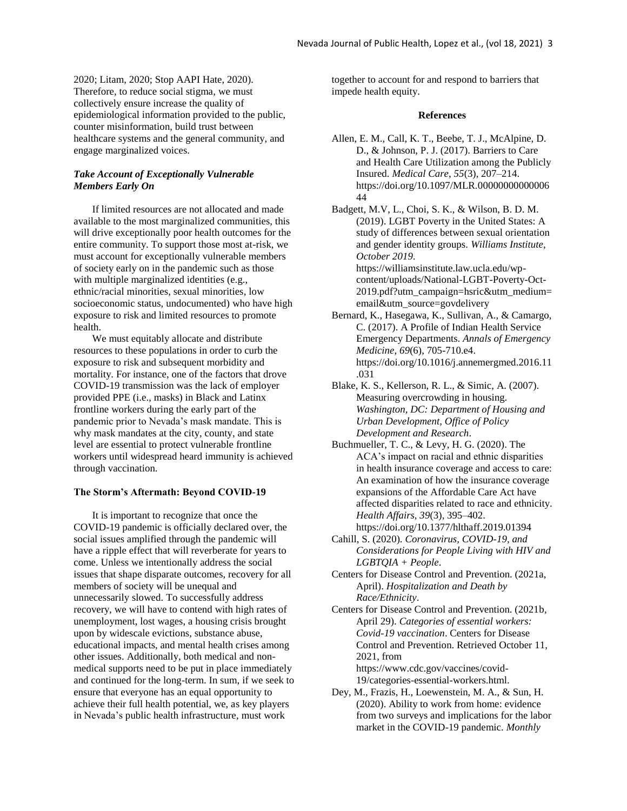2020; Litam, 2020; Stop AAPI Hate, 2020). Therefore, to reduce social stigma, we must collectively ensure increase the quality of epidemiological information provided to the public, counter misinformation, build trust between healthcare systems and the general community, and engage marginalized voices.

# *Take Account of Exceptionally Vulnerable Members Early On*

If limited resources are not allocated and made available to the most marginalized communities, this will drive exceptionally poor health outcomes for the entire community. To support those most at-risk, we must account for exceptionally vulnerable members of society early on in the pandemic such as those with multiple marginalized identities (e.g., ethnic/racial minorities, sexual minorities, low socioeconomic status, undocumented) who have high exposure to risk and limited resources to promote health.

We must equitably allocate and distribute resources to these populations in order to curb the exposure to risk and subsequent morbidity and mortality. For instance, one of the factors that drove COVID-19 transmission was the lack of employer provided PPE (i.e., masks) in Black and Latinx frontline workers during the early part of the pandemic prior to Nevada's mask mandate. This is why mask mandates at the city, county, and state level are essential to protect vulnerable frontline workers until widespread heard immunity is achieved through vaccination.

#### **The Storm's Aftermath: Beyond COVID-19**

It is important to recognize that once the COVID-19 pandemic is officially declared over, the social issues amplified through the pandemic will have a ripple effect that will reverberate for years to come. Unless we intentionally address the social issues that shape disparate outcomes, recovery for all members of society will be unequal and unnecessarily slowed. To successfully address recovery, we will have to contend with high rates of unemployment, lost wages, a housing crisis brought upon by widescale evictions, substance abuse, educational impacts, and mental health crises among other issues. Additionally, both medical and nonmedical supports need to be put in place immediately and continued for the long-term. In sum, if we seek to ensure that everyone has an equal opportunity to achieve their full health potential, we, as key players in Nevada's public health infrastructure, must work

together to account for and respond to barriers that impede health equity.

### **References**

- Allen, E. M., Call, K. T., Beebe, T. J., McAlpine, D. D., & Johnson, P. J. (2017). Barriers to Care and Health Care Utilization among the Publicly Insured. *Medical Care*, *55*(3), 207–214. https://doi.org/10.1097/MLR.00000000000006 44
- Badgett, M.V, L., Choi, S. K., & Wilson, B. D. M. (2019). LGBT Poverty in the United States: A study of differences between sexual orientation and gender identity groups. *Williams Institute*, *October 2019*. https://williamsinstitute.law.ucla.edu/wpcontent/uploads/National-LGBT-Poverty-Oct-2019.pdf?utm\_campaign=hsric&utm\_medium= email&utm\_source=govdelivery
- Bernard, K., Hasegawa, K., Sullivan, A., & Camargo, C. (2017). A Profile of Indian Health Service Emergency Departments. *Annals of Emergency Medicine*, *69*(6), 705-710.e4. https://doi.org/10.1016/j.annemergmed.2016.11 .031
- Blake, K. S., Kellerson, R. L., & Simic, A. (2007). Measuring overcrowding in housing. *Washington, DC: Department of Housing and Urban Development, Office of Policy Development and Research*.
- Buchmueller, T. C., & Levy, H. G. (2020). The ACA's impact on racial and ethnic disparities in health insurance coverage and access to care: An examination of how the insurance coverage expansions of the Affordable Care Act have affected disparities related to race and ethnicity. *Health Affairs*, *39*(3), 395–402. https://doi.org/10.1377/hlthaff.2019.01394
- Cahill, S. (2020). *Coronavirus, COVID-19, and Considerations for People Living with HIV and LGBTQIA + People*.
- Centers for Disease Control and Prevention. (2021a, April). *Hospitalization and Death by Race/Ethnicity*.
- Centers for Disease Control and Prevention. (2021b, April 29). *Categories of essential workers: Covid-19 vaccination*. Centers for Disease Control and Prevention. Retrieved October 11, 2021, from https://www.cdc.gov/vaccines/covid-

19/categories-essential-workers.html.

Dey, M., Frazis, H., Loewenstein, M. A., & Sun, H. (2020). Ability to work from home: evidence from two surveys and implications for the labor market in the COVID-19 pandemic. *Monthly*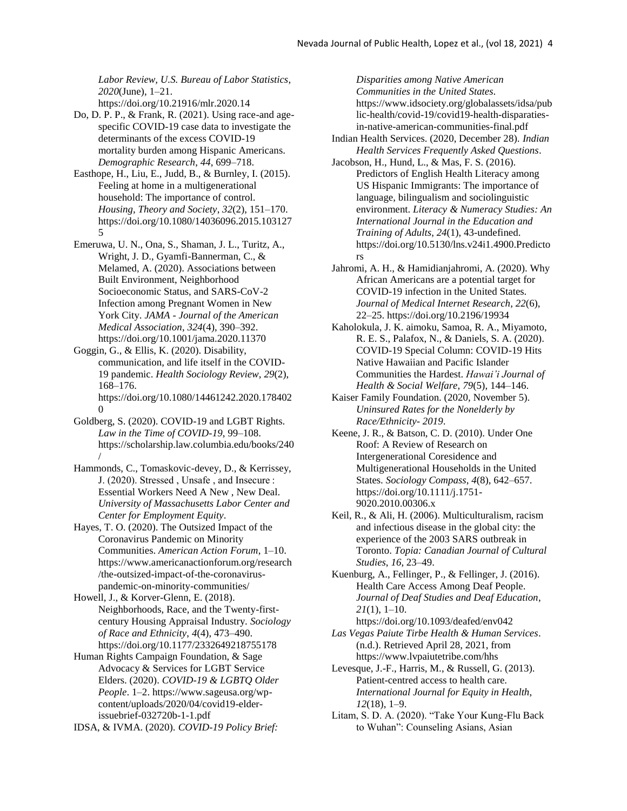*Labor Review, U.S. Bureau of Labor Statistics*, *2020*(June), 1–21. https://doi.org/10.21916/mlr.2020.14

Do, D. P. P., & Frank, R. (2021). Using race-and agespecific COVID-19 case data to investigate the determinants of the excess COVID-19 mortality burden among Hispanic Americans. *Demographic Research*, *44*, 699–718.

- Easthope, H., Liu, E., Judd, B., & Burnley, I. (2015). Feeling at home in a multigenerational household: The importance of control. *Housing, Theory and Society*, *32*(2), 151–170. https://doi.org/10.1080/14036096.2015.103127 5
- Emeruwa, U. N., Ona, S., Shaman, J. L., Turitz, A., Wright, J. D., Gyamfi-Bannerman, C., & Melamed, A. (2020). Associations between Built Environment, Neighborhood Socioeconomic Status, and SARS-CoV-2 Infection among Pregnant Women in New York City. *JAMA - Journal of the American Medical Association*, *324*(4), 390–392. https://doi.org/10.1001/jama.2020.11370
- Goggin, G., & Ellis, K. (2020). Disability, communication, and life itself in the COVID-19 pandemic. *Health Sociology Review*, *29*(2), 168–176. https://doi.org/10.1080/14461242.2020.178402 0
- Goldberg, S. (2020). COVID-19 and LGBT Rights. *Law in the Time of COVID-19*, 99–108. https://scholarship.law.columbia.edu/books/240 /
- Hammonds, C., Tomaskovic-devey, D., & Kerrissey, J. (2020). Stressed , Unsafe , and Insecure : Essential Workers Need A New , New Deal. *University of Massachusetts Labor Center and Center for Employment Equity*.
- Hayes, T. O. (2020). The Outsized Impact of the Coronavirus Pandemic on Minority Communities. *American Action Forum*, 1–10. https://www.americanactionforum.org/research /the-outsized-impact-of-the-coronaviruspandemic-on-minority-communities/
- Howell, J., & Korver-Glenn, E. (2018). Neighborhoods, Race, and the Twenty-firstcentury Housing Appraisal Industry. *Sociology of Race and Ethnicity*, *4*(4), 473–490. https://doi.org/10.1177/2332649218755178
- Human Rights Campaign Foundation, & Sage Advocacy & Services for LGBT Service Elders. (2020). *COVID-19 & LGBTQ Older People*. 1–2. https://www.sageusa.org/wpcontent/uploads/2020/04/covid19-elderissuebrief-032720b-1-1.pdf

IDSA, & IVMA. (2020). *COVID-19 Policy Brief:* 

*Disparities among Native American Communities in the United States*. https://www.idsociety.org/globalassets/idsa/pub lic-health/covid-19/covid19-health-disparatiesin-native-american-communities-final.pdf

- Indian Health Services. (2020, December 28). *Indian Health Services Frequently Asked Questions*.
- Jacobson, H., Hund, L., & Mas, F. S. (2016). Predictors of English Health Literacy among US Hispanic Immigrants: The importance of language, bilingualism and sociolinguistic environment. *Literacy & Numeracy Studies: An International Journal in the Education and Training of Adults*, *24*(1), 43-undefined. https://doi.org/10.5130/lns.v24i1.4900.Predicto rs
- Jahromi, A. H., & Hamidianjahromi, A. (2020). Why African Americans are a potential target for COVID-19 infection in the United States. *Journal of Medical Internet Research*, *22*(6), 22–25. https://doi.org/10.2196/19934
- Kaholokula, J. K. aimoku, Samoa, R. A., Miyamoto, R. E. S., Palafox, N., & Daniels, S. A. (2020). COVID-19 Special Column: COVID-19 Hits Native Hawaiian and Pacific Islander Communities the Hardest. *Hawai'i Journal of Health & Social Welfare*, *79*(5), 144–146.
- Kaiser Family Foundation. (2020, November 5). *Uninsured Rates for the Nonelderly by Race/Ethnicity- 2019*.
- Keene, J. R., & Batson, C. D. (2010). Under One Roof: A Review of Research on Intergenerational Coresidence and Multigenerational Households in the United States. *Sociology Compass*, *4*(8), 642–657. https://doi.org/10.1111/j.1751- 9020.2010.00306.x
- Keil, R., & Ali, H. (2006). Multiculturalism, racism and infectious disease in the global city: the experience of the 2003 SARS outbreak in Toronto. *Topia: Canadian Journal of Cultural Studies*, *16*, 23–49.
- Kuenburg, A., Fellinger, P., & Fellinger, J. (2016). Health Care Access Among Deaf People. *Journal of Deaf Studies and Deaf Education*, *21*(1), 1–10.
- https://doi.org/10.1093/deafed/env042 *Las Vegas Paiute Tirbe Health & Human Services*. (n.d.). Retrieved April 28, 2021, from https://www.lvpaiutetribe.com/hhs
- Levesque, J.-F., Harris, M., & Russell, G. (2013). Patient-centred access to health care. *International Journal for Equity in Health*, *12*(18), 1–9.
- Litam, S. D. A. (2020). "Take Your Kung-Flu Back to Wuhan": Counseling Asians, Asian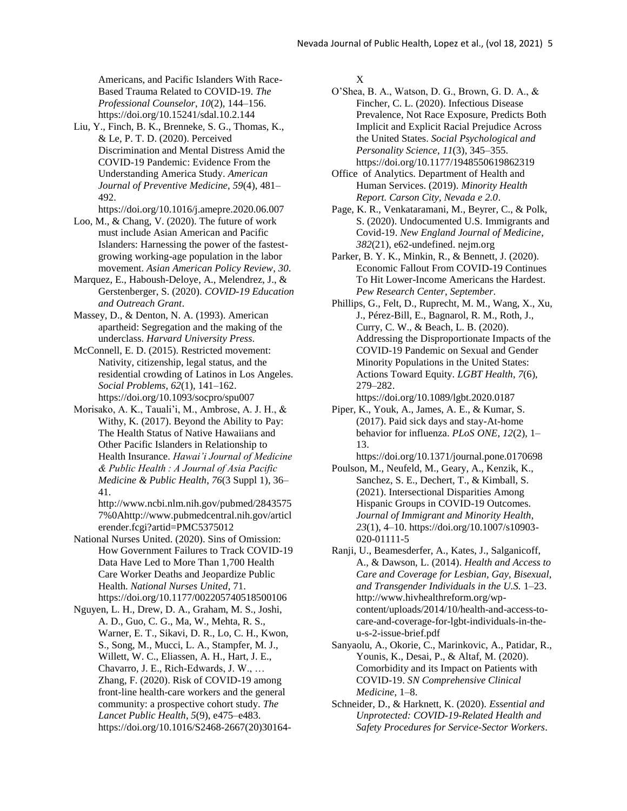Americans, and Pacific Islanders With Race-Based Trauma Related to COVID-19. *The Professional Counselor*, *10*(2), 144–156. https://doi.org/10.15241/sdal.10.2.144

Liu, Y., Finch, B. K., Brenneke, S. G., Thomas, K., & Le, P. T. D. (2020). Perceived Discrimination and Mental Distress Amid the COVID-19 Pandemic: Evidence From the Understanding America Study. *American Journal of Preventive Medicine*, *59*(4), 481– 492.

https://doi.org/10.1016/j.amepre.2020.06.007

- Loo, M., & Chang, V. (2020). The future of work must include Asian American and Pacific Islanders: Harnessing the power of the fastestgrowing working-age population in the labor movement. *Asian American Policy Review*, *30*.
- Marquez, E., Haboush-Deloye, A., Melendrez, J., & Gerstenberger, S. (2020). *COVID-19 Education and Outreach Grant*.
- Massey, D., & Denton, N. A. (1993). American apartheid: Segregation and the making of the underclass. *Harvard University Press*.
- McConnell, E. D. (2015). Restricted movement: Nativity, citizenship, legal status, and the residential crowding of Latinos in Los Angeles. *Social Problems*, *62*(1), 141–162. https://doi.org/10.1093/socpro/spu007
- Morisako, A. K., Tauali'i, M., Ambrose, A. J. H., & Withy, K. (2017). Beyond the Ability to Pay: The Health Status of Native Hawaiians and Other Pacific Islanders in Relationship to Health Insurance. *Hawai'i Journal of Medicine & Public Health : A Journal of Asia Pacific Medicine & Public Health*, *76*(3 Suppl 1), 36– 41.
	- http://www.ncbi.nlm.nih.gov/pubmed/2843575 7%0Ahttp://www.pubmedcentral.nih.gov/articl erender.fcgi?artid=PMC5375012
- National Nurses United. (2020). Sins of Omission: How Government Failures to Track COVID-19 Data Have Led to More Than 1,700 Health Care Worker Deaths and Jeopardize Public Health. *National Nurses United*, 71. https://doi.org/10.1177/002205740518500106
- Nguyen, L. H., Drew, D. A., Graham, M. S., Joshi, A. D., Guo, C. G., Ma, W., Mehta, R. S., Warner, E. T., Sikavi, D. R., Lo, C. H., Kwon, S., Song, M., Mucci, L. A., Stampfer, M. J., Willett, W. C., Eliassen, A. H., Hart, J. E., Chavarro, J. E., Rich-Edwards, J. W., … Zhang, F. (2020). Risk of COVID-19 among front-line health-care workers and the general community: a prospective cohort study. *The Lancet Public Health*, *5*(9), e475–e483. https://doi.org/10.1016/S2468-2667(20)30164-

X

- O'Shea, B. A., Watson, D. G., Brown, G. D. A., & Fincher, C. L. (2020). Infectious Disease Prevalence, Not Race Exposure, Predicts Both Implicit and Explicit Racial Prejudice Across the United States. *Social Psychological and Personality Science*, *11*(3), 345–355. https://doi.org/10.1177/1948550619862319
- Office of Analytics. Department of Health and Human Services. (2019). *Minority Health Report. Carson City, Nevada e 2.0*.
- Page, K. R., Venkataramani, M., Beyrer, C., & Polk, S. (2020). Undocumented U.S. Immigrants and Covid-19. *New England Journal of Medicine*, *382*(21), e62-undefined. nejm.org
- Parker, B. Y. K., Minkin, R., & Bennett, J. (2020). Economic Fallout From COVID-19 Continues To Hit Lower-Income Americans the Hardest. *Pew Research Center*, *September*.
- Phillips, G., Felt, D., Ruprecht, M. M., Wang, X., Xu, J., Pérez-Bill, E., Bagnarol, R. M., Roth, J., Curry, C. W., & Beach, L. B. (2020). Addressing the Disproportionate Impacts of the COVID-19 Pandemic on Sexual and Gender Minority Populations in the United States: Actions Toward Equity. *LGBT Health*, *7*(6), 279–282.

https://doi.org/10.1089/lgbt.2020.0187

- Piper, K., Youk, A., James, A. E., & Kumar, S. (2017). Paid sick days and stay-At-home behavior for influenza. *PLoS ONE*, *12*(2), 1– 13.
- https://doi.org/10.1371/journal.pone.0170698 Poulson, M., Neufeld, M., Geary, A., Kenzik, K.,
- Sanchez, S. E., Dechert, T., & Kimball, S. (2021). Intersectional Disparities Among Hispanic Groups in COVID-19 Outcomes. *Journal of Immigrant and Minority Health*, *23*(1), 4–10. https://doi.org/10.1007/s10903- 020-01111-5
- Ranji, U., Beamesderfer, A., Kates, J., Salganicoff, A., & Dawson, L. (2014). *Health and Access to Care and Coverage for Lesbian, Gay, Bisexual, and Transgender Individuals in the U.S.* 1–23. http://www.hivhealthreform.org/wpcontent/uploads/2014/10/health-and-access-tocare-and-coverage-for-lgbt-individuals-in-theu-s-2-issue-brief.pdf
- Sanyaolu, A., Okorie, C., Marinkovic, A., Patidar, R., Younis, K., Desai, P., & Altaf, M. (2020). Comorbidity and its Impact on Patients with COVID-19. *SN Comprehensive Clinical Medicine*, 1–8.
- Schneider, D., & Harknett, K. (2020). *Essential and Unprotected: COVID-19-Related Health and Safety Procedures for Service-Sector Workers*.